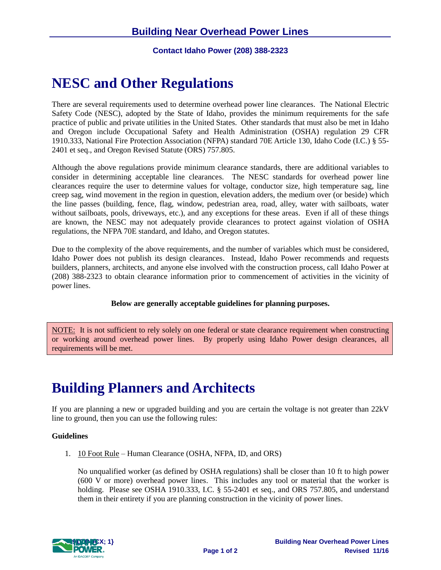**Contact Idaho Power (208) 388-2323**

# **NESC and Other Regulations**

There are several requirements used to determine overhead power line clearances. The National Electric Safety Code (NESC), adopted by the State of Idaho, provides the minimum requirements for the safe practice of public and private utilities in the United States. Other standards that must also be met in Idaho and Oregon include Occupational Safety and Health Administration (OSHA) regulation 29 CFR 1910.333, National Fire Protection Association (NFPA) standard 70E Article 130, Idaho Code (I.C.) § 55- 2401 et seq., and Oregon Revised Statute (ORS) 757.805.

Although the above regulations provide minimum clearance standards, there are additional variables to consider in determining acceptable line clearances. The NESC standards for overhead power line clearances require the user to determine values for voltage, conductor size, high temperature sag, line creep sag, wind movement in the region in question, elevation adders, the medium over (or beside) which the line passes (building, fence, flag, window, pedestrian area, road, alley, water with sailboats, water without sailboats, pools, driveways, etc.), and any exceptions for these areas. Even if all of these things are known, the NESC may not adequately provide clearances to protect against violation of OSHA regulations, the NFPA 70E standard, and Idaho, and Oregon statutes.

Due to the complexity of the above requirements, and the number of variables which must be considered, Idaho Power does not publish its design clearances. Instead, Idaho Power recommends and requests builders, planners, architects, and anyone else involved with the construction process, call Idaho Power at (208) 388-2323 to obtain clearance information prior to commencement of activities in the vicinity of power lines.

### **Below are generally acceptable guidelines for planning purposes.**

NOTE: It is not sufficient to rely solely on one federal or state clearance requirement when constructing or working around overhead power lines. By properly using Idaho Power design clearances, all requirements will be met.

# **Building Planners and Architects**

If you are planning a new or upgraded building and you are certain the voltage is not greater than 22kV line to ground, then you can use the following rules:

#### **Guidelines**

1. 10 Foot Rule – Human Clearance (OSHA, NFPA, ID, and ORS)

No unqualified worker (as defined by OSHA regulations) shall be closer than 10 ft to high power (600 V or more) overhead power lines. This includes any tool or material that the worker is holding. Please see OSHA 1910.333, I.C. § 55-2401 et seq., and ORS 757.805, and understand them in their entirety if you are planning construction in the vicinity of power lines.